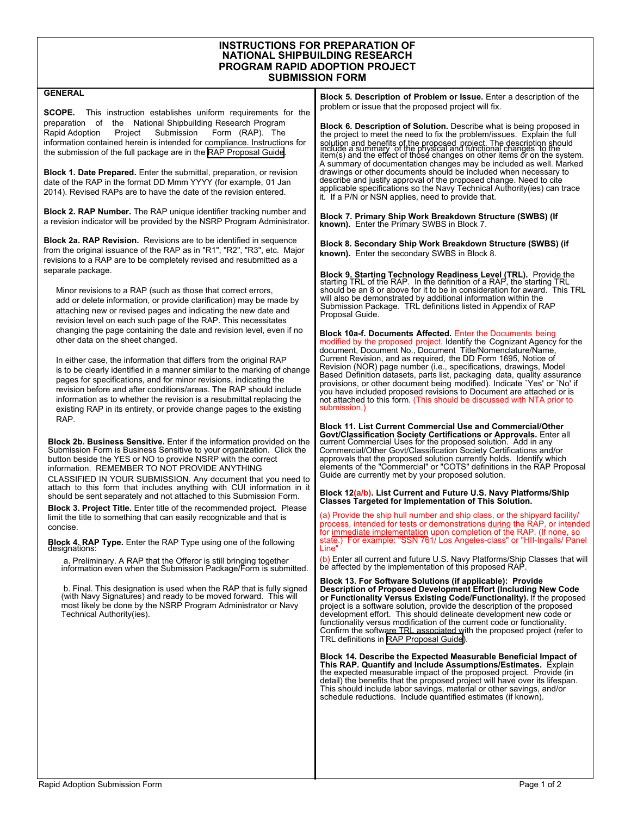## **INSTRUCTIONS FOR PREPARATION OF NATIONAL SHIPBUILDING RESEARCH PROGRAM RAPID ADOPTION PROJECT SUBMISSION FORM**

| <b>GENERAL</b>                                                                                                                                                                                                                                                                                                                                                                                                                                                                                                                                                                                                                                                                                                                                                                                                                                                                                                                                                                                                                                                                                                                                     | <b>Block 5. Description of Problem or Issue.</b> Enter a description of the<br>problem or issue that the proposed project will fix.                                                                                                                                                                                                                                                                                                                                                                                                                                                                                                                                                                                                                                                                                                                                                                                                                                                                                                                                                                                                                                                                                                                                                                                                                                                                                                                                                                                                                                                                                                                                                                                                                                                                                                                                                                                                                                                                                                                                                     |
|----------------------------------------------------------------------------------------------------------------------------------------------------------------------------------------------------------------------------------------------------------------------------------------------------------------------------------------------------------------------------------------------------------------------------------------------------------------------------------------------------------------------------------------------------------------------------------------------------------------------------------------------------------------------------------------------------------------------------------------------------------------------------------------------------------------------------------------------------------------------------------------------------------------------------------------------------------------------------------------------------------------------------------------------------------------------------------------------------------------------------------------------------|-----------------------------------------------------------------------------------------------------------------------------------------------------------------------------------------------------------------------------------------------------------------------------------------------------------------------------------------------------------------------------------------------------------------------------------------------------------------------------------------------------------------------------------------------------------------------------------------------------------------------------------------------------------------------------------------------------------------------------------------------------------------------------------------------------------------------------------------------------------------------------------------------------------------------------------------------------------------------------------------------------------------------------------------------------------------------------------------------------------------------------------------------------------------------------------------------------------------------------------------------------------------------------------------------------------------------------------------------------------------------------------------------------------------------------------------------------------------------------------------------------------------------------------------------------------------------------------------------------------------------------------------------------------------------------------------------------------------------------------------------------------------------------------------------------------------------------------------------------------------------------------------------------------------------------------------------------------------------------------------------------------------------------------------------------------------------------------------|
| SCOPE.<br>This instruction establishes uniform requirements for the<br>preparation of the National Shipbuilding Research Program<br>Rapid Adoption<br>Submission<br>Form (RAP). The<br>Project<br>information contained herein is intended for compliance. Instructions for<br>the submission of the full package are in the RAP Proposal Guide.<br><b>Block 1. Date Prepared.</b> Enter the submittal, preparation, or revision<br>date of the RAP in the format DD Mmm YYYY (for example, 01 Jan<br>2014). Revised RAPs are to have the date of the revision entered.                                                                                                                                                                                                                                                                                                                                                                                                                                                                                                                                                                            | <b>Block 6. Description of Solution.</b> Describe what is being proposed in<br>the project to meet the need to fix the problem/issues. Explain the full<br>solution and benefits of the proposed project. The description should<br>include a summary of the physical and functional changes to the<br>item(s) and the effect of those changes on other items or on the system.<br>A summary of documentation changes may be included as well. Marked<br>drawings or other documents should be included when necessary to<br>describe and justify approval of the proposed change. Need to cite<br>applicable specifications so the Navy Technical Authority(ies) can trace<br>it. If a P/N or NSN applies, need to provide that.                                                                                                                                                                                                                                                                                                                                                                                                                                                                                                                                                                                                                                                                                                                                                                                                                                                                                                                                                                                                                                                                                                                                                                                                                                                                                                                                                       |
| <b>Block 2. RAP Number.</b> The RAP unique identifier tracking number and<br>a revision indicator will be provided by the NSRP Program Administrator.                                                                                                                                                                                                                                                                                                                                                                                                                                                                                                                                                                                                                                                                                                                                                                                                                                                                                                                                                                                              | Block 7. Primary Ship Work Breakdown Structure (SWBS) (If<br>known). Enter the Primary SWBS in Block 7.                                                                                                                                                                                                                                                                                                                                                                                                                                                                                                                                                                                                                                                                                                                                                                                                                                                                                                                                                                                                                                                                                                                                                                                                                                                                                                                                                                                                                                                                                                                                                                                                                                                                                                                                                                                                                                                                                                                                                                                 |
| <b>Block 2a. RAP Revision.</b> Revisions are to be identified in sequence<br>from the original issuance of the RAP as in "R1", "R2", "R3", etc. Major<br>revisions to a RAP are to be completely revised and resubmitted as a                                                                                                                                                                                                                                                                                                                                                                                                                                                                                                                                                                                                                                                                                                                                                                                                                                                                                                                      | Block 8. Secondary Ship Work Breakdown Structure (SWBS) (if<br><b>known).</b> Enter the secondary SWBS in Block 8.                                                                                                                                                                                                                                                                                                                                                                                                                                                                                                                                                                                                                                                                                                                                                                                                                                                                                                                                                                                                                                                                                                                                                                                                                                                                                                                                                                                                                                                                                                                                                                                                                                                                                                                                                                                                                                                                                                                                                                      |
| separate package.<br>Minor revisions to a RAP (such as those that correct errors,<br>add or delete information, or provide clarification) may be made by<br>attaching new or revised pages and indicating the new date and<br>revision level on each such page of the RAP. This necessitates                                                                                                                                                                                                                                                                                                                                                                                                                                                                                                                                                                                                                                                                                                                                                                                                                                                       | Block 9. Starting Technology Readiness Level (TRL). Provide the starting TRL of the RAP. In the definition of a RAP, the starting TRL<br>should be an 8 or above for it to be in consideration for award. This TRL<br>will also be demonstrated by additional information within the<br>Submission Package. TRL definitions listed in Appendix of RAP<br>Proposal Guide.                                                                                                                                                                                                                                                                                                                                                                                                                                                                                                                                                                                                                                                                                                                                                                                                                                                                                                                                                                                                                                                                                                                                                                                                                                                                                                                                                                                                                                                                                                                                                                                                                                                                                                                |
| changing the page containing the date and revision level, even if no<br>other data on the sheet changed.<br>In either case, the information that differs from the original RAP<br>is to be clearly identified in a manner similar to the marking of change<br>pages for specifications, and for minor revisions, indicating the<br>revision before and after conditions/areas. The RAP should include<br>information as to whether the revision is a resubmittal replacing the<br>existing RAP in its entirety, or provide change pages to the existing                                                                                                                                                                                                                                                                                                                                                                                                                                                                                                                                                                                            | <b>Block 10a-f. Documents Affected.</b> Enter the Documents being<br>modified by the proposed project. Identify the Cognizant Agency for the<br>document, Document No., Document Title/Nomenclature/Name,<br>Current Revision, and as required, the DD Form 1695, Notice of<br>Revision (NOR) page number (i.e., specifications, drawings, Model<br>Based Definition datasets, parts list, packaging data, quality assurance<br>provisions, or other document being modified). Indicate 'Yes' or 'No' if<br>you have included proposed revisions to Document are attached or is<br>not attached to this form. (This should be discussed with NTA prior to<br>submission.)                                                                                                                                                                                                                                                                                                                                                                                                                                                                                                                                                                                                                                                                                                                                                                                                                                                                                                                                                                                                                                                                                                                                                                                                                                                                                                                                                                                                               |
| RAP.<br><b>Block 2b. Business Sensitive.</b> Enter if the information provided on the<br>Submission Form is Business Sensitive to your organization. Click the<br>button beside the YES or NO to provide NSRP with the correct<br>information. REMEMBER TO NOT PROVIDE ANYTHING<br>CLASSIFIED IN YOUR SUBMISSION. Any document that you need to<br>attach to this form that includes anything with CUI information in it<br>should be sent separately and not attached to this Submission Form.<br><b>Block 3. Project Title.</b> Enter title of the recommended project. Please<br>limit the title to something that can easily recognizable and that is<br>concise.<br><b>Block 4. RAP Type.</b> Enter the RAP Type using one of the following<br>designations:<br>a. Preliminary. A RAP that the Offeror is still bringing together<br>information even when the Submission Package/Form is submitted.<br>b. Final. This designation is used when the RAP that is fully signed<br>(with Navy Signatures) and ready to be moved forward. This will<br>most likely be done by the NSRP Program Administrator or Navy<br>Technical Authority(ies). | Block 11. List Current Commercial Use and Commercial/Other<br>Govt/Classification Society Certifications or Approvals. Enter all<br>current Commercial Uses for the proposed solution. Add in any<br>Commercial/Other Govt/Classification Society Certifications and/or<br>approvals that the proposed solution currently holds. Identify which<br>elements of the "Commercial" or "COTS" definitions in the RAP Proposal<br>Guide are currently met by your proposed solution.<br>Block 12(a/b). List Current and Future U.S. Navy Platforms/Ship<br><b>Classes Targeted for Implementation of This Solution.</b><br>(a) Provide the ship hull number and ship class, or the shipyard facility/<br>process, intended for tests or demonstrations during the RAP, or intended<br>for immediate implementation upon completion of the RAP. (If none, so<br>state.) For example: "SSN 761/ Los Angeles-class" or "HII-lngalls/ Panel<br>Line<br>(b) Enter all current and future U.S. Navy Platforms/Ship Classes that will<br>be affected by the implementation of this proposed RAP.<br>Block 13. For Software Solutions (if applicable): Provide<br>Description of Proposed Development Effort (Including New Code<br>or Functionality Versus Existing Code/Functionality). If the proposed<br>project is a software solution, provide the description of the proposed<br>development effort. This should delineate development new code or<br>functionality versus modification of the current code or functionality.<br>Confirm the software TRL associated with the proposed project (refer to<br>TRL definitions in RAP Proposal Guide).<br><b>Block 14. Describe the Expected Measurable Beneficial Impact of</b><br>This RAP. Quantify and Include Assumptions/Estimates. Explain<br>the expected measurable impact of the proposed project. Provide (in<br>detail) the benefits that the proposed project will have over its lifespan.<br>This should include labor savings, material or other savings, and/or<br>schedule reductions. Include quantified estimates (if known). |
|                                                                                                                                                                                                                                                                                                                                                                                                                                                                                                                                                                                                                                                                                                                                                                                                                                                                                                                                                                                                                                                                                                                                                    |                                                                                                                                                                                                                                                                                                                                                                                                                                                                                                                                                                                                                                                                                                                                                                                                                                                                                                                                                                                                                                                                                                                                                                                                                                                                                                                                                                                                                                                                                                                                                                                                                                                                                                                                                                                                                                                                                                                                                                                                                                                                                         |